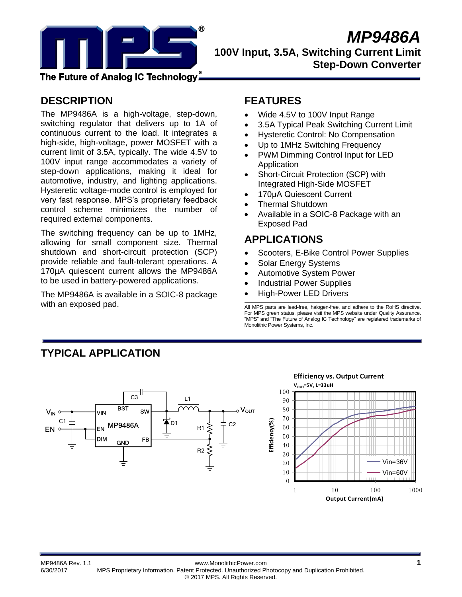

The Future of Analog IC Technology』

# **DESCRIPTION**

The MP9486A is a high-voltage, step-down, switching regulator that delivers up to 1A of continuous current to the load. It integrates a high-side, high-voltage, power MOSFET with a current limit of 3.5A, typically. The wide 4.5V to 100V input range accommodates a variety of step-down applications, making it ideal for automotive, industry, and lighting applications. Hysteretic voltage-mode control is employed for very fast response. MPS's proprietary feedback control scheme minimizes the number of required external components.

The switching frequency can be up to 1MHz, allowing for small component size. Thermal shutdown and short-circuit protection (SCP) provide reliable and fault-tolerant operations. A 170µA quiescent current allows the MP9486A to be used in battery-powered applications.

The MP9486A is available in a SOIC-8 package with an exposed pad.

# **FEATURES**

- Wide 4.5V to 100V Input Range
- 3.5A Typical Peak Switching Current Limit
- Hysteretic Control: No Compensation
- Up to 1MHz Switching Frequency
- PWM Dimming Control Input for LED Application
- Short-Circuit Protection (SCP) with Integrated High-Side MOSFET
- 170μA Quiescent Current
- Thermal Shutdown
- Available in a SOIC-8 Package with an Exposed Pad

# **APPLICATIONS**

- Scooters, E-Bike Control Power Supplies
- Solar Energy Systems
- Automotive System Power
- Industrial Power Supplies
- High-Power LED Drivers

All MPS parts are lead-free, halogen-free, and adhere to the RoHS directive. For MPS green status, please visit the MPS website under Quality Assurance. "MPS" and "The Future of Analog IC Technology" are registered trademarks of Monolithic Power Systems, Inc.

# **TYPICAL APPLICATION**





MP9486A Rev. 1.1 www.MonolithicPower.com **1** 6/30/2017 MPS Proprietary Information. Patent Protected. Unauthorized Photocopy and Duplication Prohibited. © 2017 MPS. All Rights Reserved.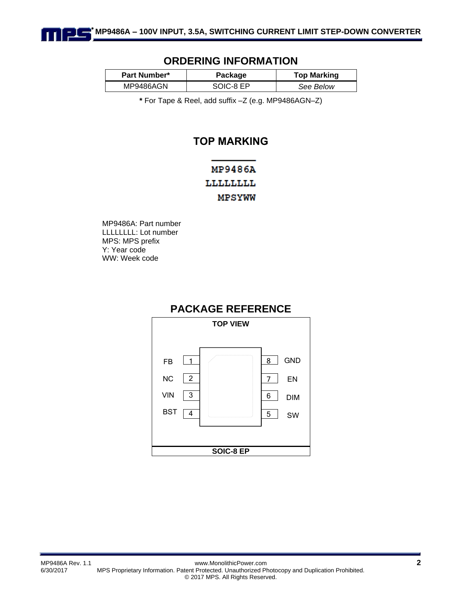

## **ORDERING INFORMATION**

| <b>Part Number*</b> | Package   | <b>Top Marking</b> |
|---------------------|-----------|--------------------|
| MP9486AGN           | SOIC-8 EP | See Below          |

**\*** For Tape & Reel, add suffix –Z (e.g. MP9486AGN–Z)

# **TOP MARKING**

# **MP9486A** LLLLLLLL MPSYWW

MP9486A: Part number LLLLLLLL: Lot number MPS: MPS prefix Y: Year code WW: Week code

# **PACKAGE REFERENCE**

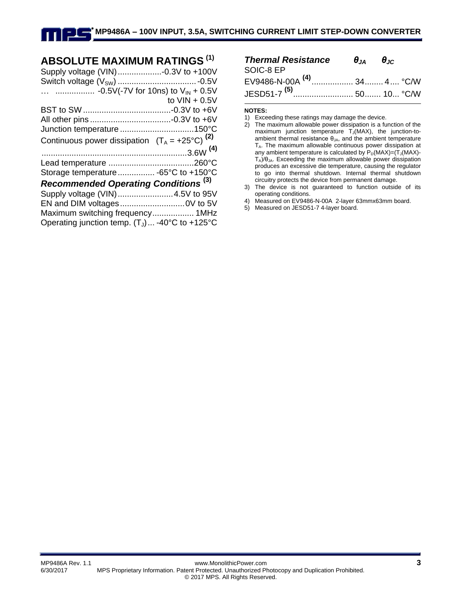# **ABSOLUTE MAXIMUM RATINGS (1)**

| Supply voltage (VIN)-0.3V to +100V                        |                 |
|-----------------------------------------------------------|-----------------|
|                                                           |                 |
|                                                           |                 |
|                                                           | to $VIN + 0.5V$ |
|                                                           |                 |
|                                                           |                 |
| Junction temperature 150°C                                |                 |
| Continuous power dissipation $(T_A = +25^{\circ}C)^{(2)}$ |                 |
|                                                           |                 |
|                                                           |                 |
| Storage temperature -65°C to +150°C                       |                 |
| <b>Recommended Operating Conditions (3)</b>               |                 |
| Supply voltage (VIN)4.5V to 95V                           |                 |
|                                                           |                 |
| Maximum switching frequency 1MHz                          |                 |
| Operating junction temp. $(T_J)$ -40°C to +125°C          |                 |

| <b>Thermal Resistance</b> $\theta_{JA}$ $\theta_{JC}$ |  |
|-------------------------------------------------------|--|
| SOIC-8 EP                                             |  |
| EV9486-N-00A <sup>(4)</sup> 34…… 4…. °C/W             |  |
| JESD51-7 <sup>(5)</sup> 50 10 °C/W                    |  |

#### **NOTES:**

<sup>1)</sup> Exceeding these ratings may damage the device.

<sup>2)</sup> The maximum allowable power dissipation is a function of the maximum junction temperature  $T_J(MAX)$ , the junction-toambient thermal resistance  $\theta_{JA}$ , and the ambient temperature TA. The maximum allowable continuous power dissipation at any ambient temperature is calculated by  $P_D(MAX)=(T_J(MAX)-T_J(MAX)-T_J(MAX))$  $T_A$ )/ $\theta_{IA}$ . Exceeding the maximum allowable power dissipation produces an excessive die temperature, causing the regulator to go into thermal shutdown. Internal thermal shutdown circuitry protects the device from permanent damage.

<sup>3)</sup> The device is not guaranteed to function outside of its operating conditions.

<sup>4)</sup> Measured on EV9486-N-00A 2-layer 63mmx63mm board.

<sup>5)</sup> Measured on JESD51-7 4-layer board.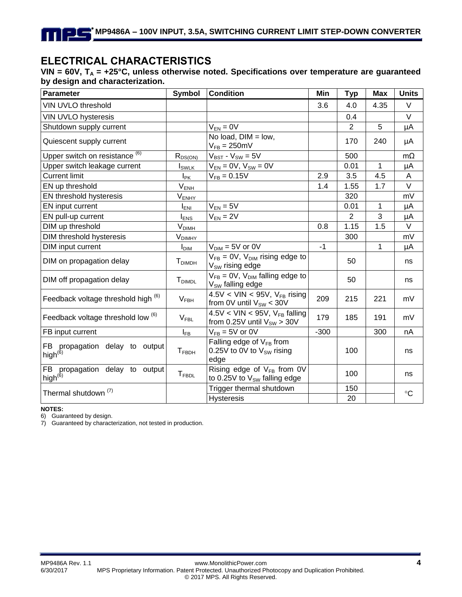# **ELECTRICAL CHARACTERISTICS**

**VIN = 60V, T<sup>A</sup> = +25°C, unless otherwise noted. Specifications over temperature are guaranteed by design and characterization.** 

| Parameter                                       | <b>Symbol</b>             | <b>Condition</b>                                                         | Min    | <b>Typ</b>     | <b>Max</b> | <b>Units</b> |
|-------------------------------------------------|---------------------------|--------------------------------------------------------------------------|--------|----------------|------------|--------------|
| VIN UVLO threshold                              |                           |                                                                          | 3.6    | 4.0            | 4.35       | $\vee$       |
| VIN UVLO hysteresis                             |                           |                                                                          |        | 0.4            |            | $\vee$       |
| Shutdown supply current                         |                           | $V_{EN} = 0V$                                                            |        | 2              | 5          | μA           |
| Quiescent supply current                        |                           | No load, $DIM = low$ ,<br>$V_{FB} = 250 \text{mV}$                       |        | 170            | 240        | μA           |
| Upper switch on resistance <sup>(6)</sup>       | $R_{DS(ON)}$              | $V_{BST} - V_{SW} = 5V$                                                  |        | 500            |            | $m\Omega$    |
| Upper switch leakage current                    | $I_{SWLK}$                | $V_{EN} = 0V$ , $V_{SW} = 0V$                                            |        | 0.01           | 1          | μA           |
| <b>Current limit</b>                            | I <sub>PK</sub>           | $V_{FB} = 0.15V$                                                         | 2.9    | 3.5            | 4.5        | A            |
| EN up threshold                                 | $V_{ENH}$                 |                                                                          | 1.4    | 1.55           | 1.7        | V            |
| EN threshold hysteresis                         | $V_{ENHY}$                |                                                                          |        | 320            |            | mV           |
| EN input current                                | <b>I</b> <sub>ENI</sub>   | $V_{EN} = 5V$                                                            |        | 0.01           | 1          | μA           |
| EN pull-up current                              | $I_{ENS}$                 | $V_{EN} = 2V$                                                            |        | $\overline{2}$ | 3          | μA           |
| DIM up threshold                                | <b>V<sub>DIMH</sub></b>   |                                                                          | 0.8    | 1.15           | 1.5        | $\vee$       |
| DIM threshold hysteresis                        | $V_{DIMHY}$               |                                                                          |        | 300            |            | mV           |
| DIM input current                               | <b>I</b> <sub>DIM</sub>   | $V_{\text{DIM}} = 5V$ or 0V                                              | $-1$   |                | 1          | μA           |
| DIM on propagation delay                        | <b>T</b> <sub>DIMDH</sub> | $V_{FB} = 0V$ , $V_{DIM}$ rising edge to<br>$V_{SW}$ rising edge         |        | 50             |            | ns           |
| DIM off propagation delay                       | <b>T</b> <sub>DIMDL</sub> | $V_{FB} = 0V$ , $V_{DIM}$ falling edge to<br>$V_{SW}$ falling edge       |        | 50             |            | ns           |
| Feedback voltage threshold high (6)             | V <sub>FBH</sub>          | 4.5V < VIN < 95V, $V_{FB}$ rising<br>from 0V until $V_{SW}$ < 30V        | 209    | 215            | 221        | mV           |
| Feedback voltage threshold low <sup>(6)</sup>   | $V_{\sf FBL}$             | $4.5V < VIN < 95V$ , $V_{FB}$ falling<br>from 0.25V until $V_{SW} > 30V$ | 179    | 185            | 191        | mV           |
| FB input current                                | $I_{FB}$                  | $V_{FB} = 5V$ or 0V                                                      | $-300$ |                | 300        | nA           |
| FB propagation delay to output<br>high $^{(6)}$ | $T_{FBDH}$                | Falling edge of $V_{FB}$ from<br>0.25V to 0V to $V_{SW}$ rising<br>edge  |        | 100            |            | ns           |
| FB propagation delay to output<br>$high^{(6)}$  | $T_{FBDL}$                | Rising edge of $V_{FB}$ from 0V<br>to 0.25V to $V_{SW}$ falling edge     |        | 100            |            | ns           |
| Thermal shutdown <sup>(7)</sup>                 |                           | Trigger thermal shutdown                                                 |        | 150            |            | $^{\circ}C$  |
|                                                 |                           | <b>Hysteresis</b>                                                        |        | 20             |            |              |

**NOTES:**

6) Guaranteed by design.

7) Guaranteed by characterization, not tested in production.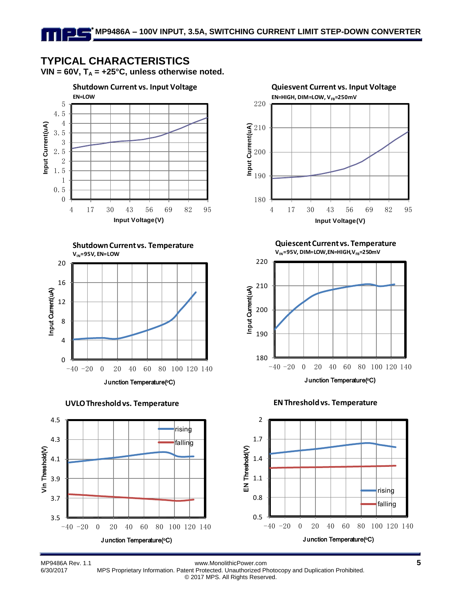# **TYPICAL CHARACTERISTICS**

VIN =  $60V$ ,  $T_A$  =  $+25^{\circ}C$ , unless otherwise noted.











**Quiescent Current vs. Temperature**  $V_{\text{IN}}$ =95V, DIM=LOW, EN=HIGH,  $V_{\text{FB}}$ =250mV







MP9486A Rev. 1.1 www.MonolithicPower.com **5** 6/30/2017 MPS Proprietary Information. Patent Protected. Unauthorized Photocopy and Duplication Prohibited.

© 2017 MPS. All Rights Reserved.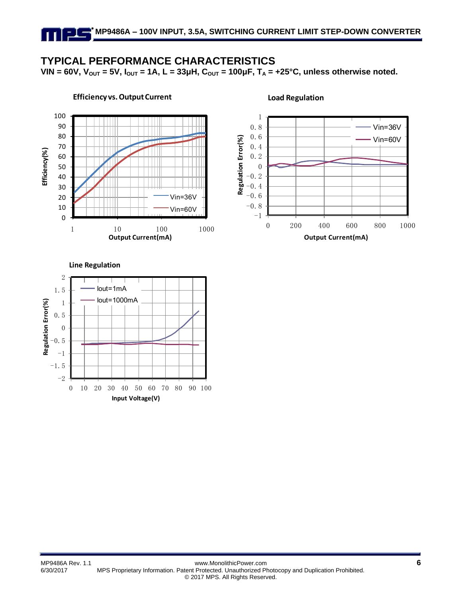## **TYPICAL PERFORMANCE CHARACTERISTICS**

**VIN** = 60V,  $V_{OUT}$  = 5V,  $I_{OUT}$  = 1A,  $L = 33 \mu$ H,  $C_{OUT}$  = 100 $\mu$ F,  $T_A$  = +25°C, unless otherwise noted.



#### 1 0.8 Vin=36V 0.6 Regulation Error(%) Vin=60V **Regulation Error(%)** 0.4 0.2 0  $-0.2$  $-0.4$ -0.6 . o<br>. 8<br>-1  $-0.8$ 0 200 400 600 800 1000 **Output Current(mA)**

**Load Regulation**

### **Line Regulation**  $-1$ -0.5 0 0.5 1 1.5 2 Iout=1mA Iout=1000mA

 $0$  10 20 30 40 50 60 70 80 90 100 **Input Voltage(V)**

 $-1.5$ <br> $-2$ 

**Regulation Error(%)**

Regulation Error(%)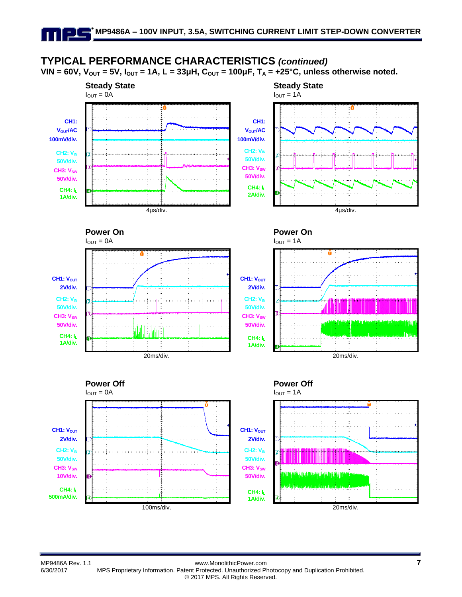# **TYPICAL PERFORMANCE CHARACTERISTICS** *(continued)*

**VIN** = 60V,  $V_{OUT}$  = 5V,  $I_{OUT}$  = 1A, L = 33μH,  $C_{OUT}$  = 100μF,  $T_A$  = +25°C, unless otherwise noted.

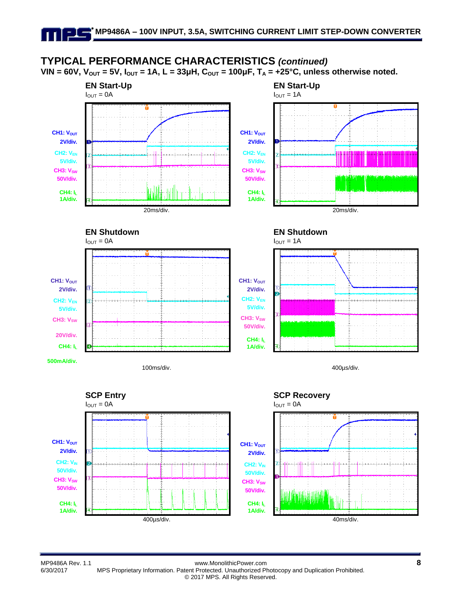# **TYPICAL PERFORMANCE CHARACTERISTICS** *(continued)*

**VIN** = 60V,  $V_{OUT}$  = 5V,  $I_{OUT}$  = 1A, L = 33μH,  $C_{OUT}$  = 100μF,  $T_A$  = +25°C, unless otherwise noted.



**2V/div. CH2: VEN 5V/div.**

**50V/div. CH4: I<sup>L</sup> 1A/div.**













MP9486A Rev. 1.1 www.MonolithicPower.com **8** 6/30/2017 MPS Proprietary Information. Patent Protected. Unauthorized Photocopy and Duplication Prohibited. © 2017 MPS. All Rights Reserved.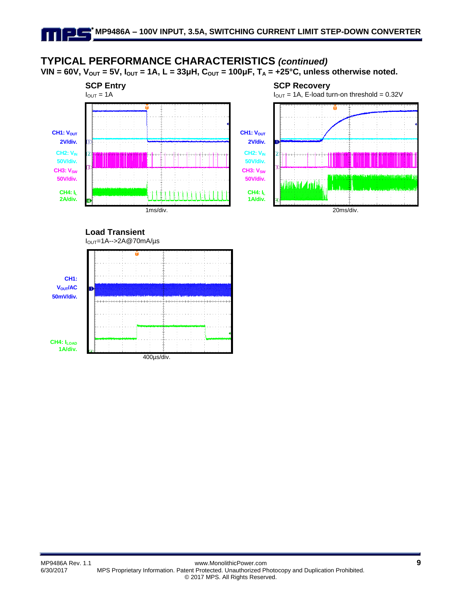# **TYPICAL PERFORMANCE CHARACTERISTICS** *(continued)*

**VIN** = 60V,  $V_{OUT}$  = 5V,  $I_{OUT}$  = 1A, L = 33μH,  $C_{OUT}$  = 100μF,  $T_A$  = +25°C, unless otherwise noted.



**Load Transient**



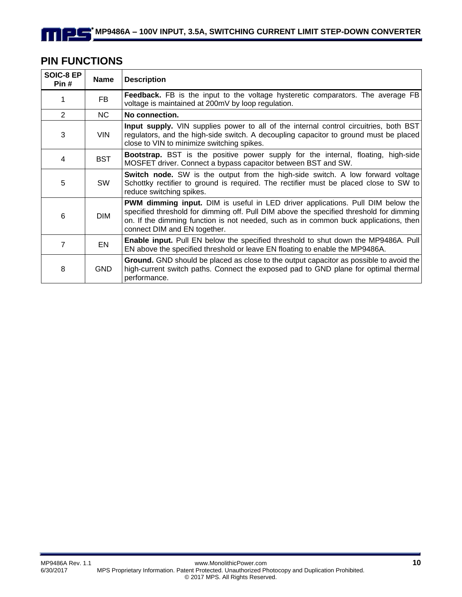# **PIN FUNCTIONS**

 $\blacksquare$ 

| SOIC-8 EP<br>Pin # | <b>Name</b> | <b>Description</b>                                                                                                                                                                                                                                                                                        |
|--------------------|-------------|-----------------------------------------------------------------------------------------------------------------------------------------------------------------------------------------------------------------------------------------------------------------------------------------------------------|
|                    | <b>FB</b>   | Feedback. FB is the input to the voltage hysteretic comparators. The average FB<br>voltage is maintained at 200mV by loop regulation.                                                                                                                                                                     |
| 2                  | NC.         | No connection.                                                                                                                                                                                                                                                                                            |
| 3                  | <b>VIN</b>  | <b>Input supply.</b> VIN supplies power to all of the internal control circuitries, both BST<br>regulators, and the high-side switch. A decoupling capacitor to ground must be placed<br>close to VIN to minimize switching spikes.                                                                       |
| 4                  | <b>BST</b>  | <b>Bootstrap.</b> BST is the positive power supply for the internal, floating, high-side<br>MOSFET driver. Connect a bypass capacitor between BST and SW.                                                                                                                                                 |
| 5                  | <b>SW</b>   | Switch node. SW is the output from the high-side switch. A low forward voltage<br>Schottky rectifier to ground is required. The rectifier must be placed close to SW to<br>reduce switching spikes.                                                                                                       |
| 6                  | <b>DIM</b>  | <b>PWM dimming input.</b> DIM is useful in LED driver applications. Pull DIM below the<br>specified threshold for dimming off. Pull DIM above the specified threshold for dimming<br>on. If the dimming function is not needed, such as in common buck applications, then<br>connect DIM and EN together. |
| 7                  | EN          | <b>Enable input.</b> Pull EN below the specified threshold to shut down the MP9486A. Pull<br>EN above the specified threshold or leave EN floating to enable the MP9486A.                                                                                                                                 |
| 8                  | <b>GND</b>  | <b>Ground.</b> GND should be placed as close to the output capacitor as possible to avoid the<br>high-current switch paths. Connect the exposed pad to GND plane for optimal thermal<br>performance.                                                                                                      |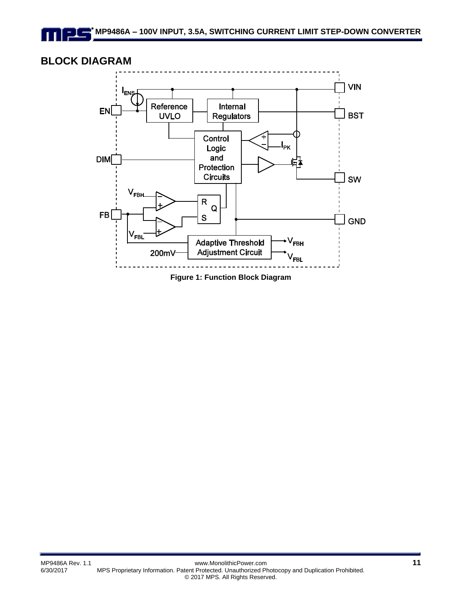## **BLOCK DIAGRAM**



**Figure 1: Function Block Diagram**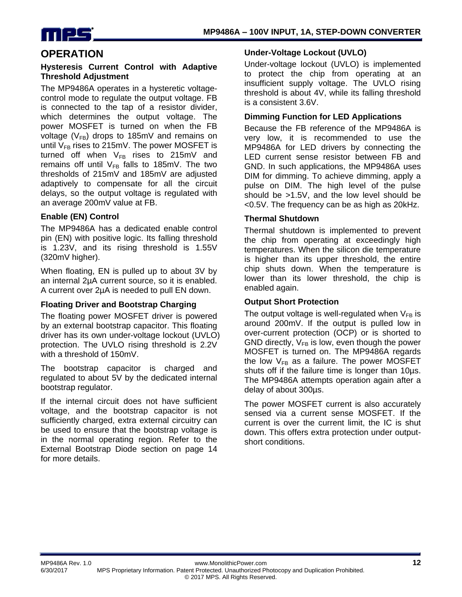

## **OPERATION**

#### **Hysteresis Current Control with Adaptive Threshold Adjustment**

The MP9486A operates in a hysteretic voltagecontrol mode to regulate the output voltage. FB is connected to the tap of a resistor divider, which determines the output voltage. The power MOSFET is turned on when the FB voltage ( $V_{FB}$ ) drops to 185mV and remains on until  $V_{FB}$  rises to 215mV. The power MOSFET is turned off when  $V_{FB}$  rises to 215mV and remains off until  $V_{FB}$  falls to 185mV. The two thresholds of 215mV and 185mV are adjusted adaptively to compensate for all the circuit delays, so the output voltage is regulated with an average 200mV value at FB.

## **Enable (EN) Control**

The MP9486A has a dedicated enable control pin (EN) with positive logic. Its falling threshold is 1.23V, and its rising threshold is 1.55V (320mV higher).

When floating, EN is pulled up to about 3V by an internal 2µA current source, so it is enabled. A current over 2µA is needed to pull EN down.

## **Floating Driver and Bootstrap Charging**

The floating power MOSFET driver is powered by an external bootstrap capacitor. This floating driver has its own under-voltage lockout (UVLO) protection. The UVLO rising threshold is 2.2V with a threshold of 150mV.

The bootstrap capacitor is charged and regulated to about 5V by the dedicated internal bootstrap regulator.

If the internal circuit does not have sufficient voltage, and the bootstrap capacitor is not sufficiently charged, extra external circuitry can be used to ensure that the bootstrap voltage is in the normal operating region. Refer to the External Bootstrap Diode section on page 14 for more details.

### **Under-Voltage Lockout (UVLO)**

Under-voltage lockout (UVLO) is implemented to protect the chip from operating at an insufficient supply voltage. The UVLO rising threshold is about 4V, while its falling threshold is a consistent 3.6V.

## **Dimming Function for LED Applications**

Because the FB reference of the MP9486A is very low, it is recommended to use the MP9486A for LED drivers by connecting the LED current sense resistor between FB and GND. In such applications, the MP9486A uses DIM for dimming. To achieve dimming, apply a pulse on DIM. The high level of the pulse should be >1.5V, and the low level should be <0.5V. The frequency can be as high as 20kHz.

## **Thermal Shutdown**

Thermal shutdown is implemented to prevent the chip from operating at exceedingly high temperatures. When the silicon die temperature is higher than its upper threshold, the entire chip shuts down. When the temperature is lower than its lower threshold, the chip is enabled again.

#### **Output Short Protection**

The output voltage is well-regulated when  $V_{FB}$  is around 200mV. If the output is pulled low in over-current protection (OCP) or is shorted to GND directly,  $V_{FR}$  is low, even though the power MOSFET is turned on. The MP9486A regards the low  $V_{FB}$  as a failure. The power MOSFET shuts off if the failure time is longer than 10µs. The MP9486A attempts operation again after a delay of about 300µs.

The power MOSFET current is also accurately sensed via a current sense MOSFET. If the current is over the current limit, the IC is shut down. This offers extra protection under outputshort conditions.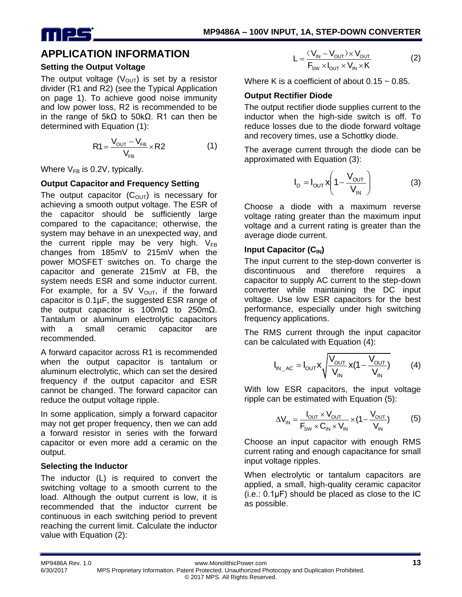

## **APPLICATION INFORMATION**

## **Setting the Output Voltage**

The output voltage  $(V<sub>OUT</sub>)$  is set by a resistor divider (R1 and R2) (see the Typical Application on page 1). To achieve good noise immunity and low power loss, R2 is recommended to be in the range of 5kΩ to 50kΩ. R1 can then be determined with Equation (1):

$$
R1 = \frac{V_{\text{OUT}} - V_{\text{FB}}}{V_{\text{FB}}} \times R2
$$
 (1)

Where  $V_{FB}$  is 0.2V, typically.

## **Output Capacitor and Frequency Setting**

The output capacitor  $(C_{\text{OUT}})$  is necessary for achieving a smooth output voltage. The ESR of the capacitor should be sufficiently large compared to the capacitance; otherwise, the system may behave in an unexpected way, and the current ripple may be very high.  $V_{FB}$ changes from 185mV to 215mV when the power MOSFET switches on. To charge the capacitor and generate 215mV at FB, the system needs ESR and some inductor current. For example, for a 5V  $V_{\text{OUT}}$ , if the forward capacitor is 0.1µF, the suggested ESR range of the output capacitor is 100mΩ to 250mΩ. Tantalum or aluminum electrolytic capacitors with a small ceramic capacitor are recommended.

A forward capacitor across R1 is recommended when the output capacitor is tantalum or aluminum electrolytic, which can set the desired frequency if the output capacitor and ESR cannot be changed. The forward capacitor can reduce the output voltage ripple.

In some application, simply a forward capacitor may not get proper frequency, then we can add a forward resistor in series with the forward capacitor or even more add a ceramic on the output.

## **Selecting the Inductor**

The inductor (L) is required to convert the switching voltage to a smooth current to the load. Although the output current is low, it is recommended that the inductor current be continuous in each switching period to prevent reaching the current limit. Calculate the inductor value with Equation (2):

$$
L = \frac{(V_{IN} - V_{OUT}) \times V_{OUT}}{F_{SW} \times I_{OUT} \times V_{IN} \times K}
$$
 (2)

Where K is a coefficient of about  $0.15 \sim 0.85$ .

## **Output Rectifier Diode**

The output rectifier diode supplies current to the inductor when the high-side switch is off. To reduce losses due to the diode forward voltage and recovery times, use a Schottky diode.

The average current through the diode can be approximated with Equation (3):

$$
I_{D} = I_{OUT} \times \left(1 - \frac{V_{OUT}}{V_{IN}}\right) \tag{3}
$$

Choose a diode with a maximum reverse voltage rating greater than the maximum input voltage and a current rating is greater than the average diode current.

## **Input Capacitor (CIN)**

The input current to the step-down converter is discontinuous and therefore requires a capacitor to supply AC current to the step-down converter while maintaining the DC input voltage. Use low ESR capacitors for the best performance, especially under high switching frequency applications.

The RMS current through the input capacitor can be calculated with Equation (4):

$$
I_{IN\_AC} = I_{OUT} X \sqrt{\frac{V_{OUT}}{V_{IN}}} x (1 - \frac{V_{OUT}}{V_{IN}})
$$
 (4)

With low ESR capacitors, the input voltage ripple can be estimated with Equation (5):

$$
\Delta V_{\text{IN}} = \frac{I_{\text{OUT}} \times V_{\text{OUT}}}{F_{\text{SW}} \times C_{\text{IN}} \times V_{\text{IN}}} \times (1 - \frac{V_{\text{OUT}}}{V_{\text{IN}}})
$$
(5)

Choose an input capacitor with enough RMS current rating and enough capacitance for small input voltage ripples.

When electrolytic or tantalum capacitors are applied, a small, high-quality ceramic capacitor (i.e.: 0.1μF) should be placed as close to the IC as possible.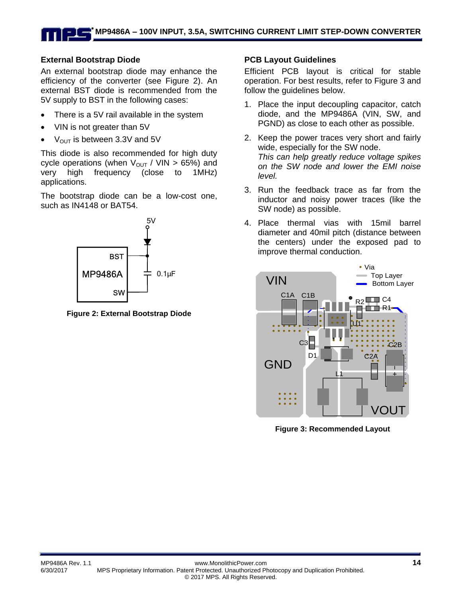## **External Bootstrap Diode**

An external bootstrap diode may enhance the efficiency of the converter (see Figure 2). An external BST diode is recommended from the 5V supply to BST in the following cases:

- There is a 5V rail available in the system
- VIN is not greater than 5V
- $V_{OUT}$  is between 3.3V and 5V

This diode is also recommended for high duty cycle operations (when  $V_{\text{OUT}}/$  VIN > 65%) and very high frequency (close to 1MHz) applications.

The bootstrap diode can be a low-cost one, such as IN4148 or BAT54.



**Figure 2: External Bootstrap Diode**

### **PCB Layout Guidelines**

Efficient PCB layout is critical for stable operation. For best results, refer to Figure 3 and follow the guidelines below.

- 1. Place the input decoupling capacitor, catch diode, and the MP9486A (VIN, SW, and PGND) as close to each other as possible.
- 2. Keep the power traces very short and fairly wide, especially for the SW node. *This can help greatly reduce voltage spikes on the SW node and lower the EMI noise level.*
- 3. Run the feedback trace as far from the inductor and noisy power traces (like the SW node) as possible.
- 4. Place thermal vias with 15mil barrel diameter and 40mil pitch (distance between the centers) under the exposed pad to improve thermal conduction.



**Figure 3: Recommended Layout**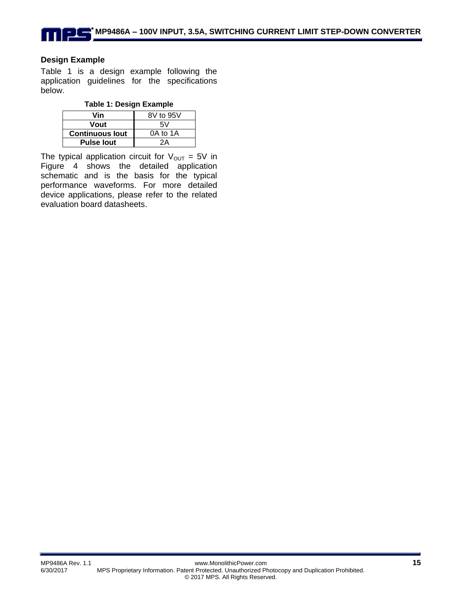## **Design Example**

Table 1 is a design example following the application guidelines for the specifications below.

| Vin                    | 8V to 95V |
|------------------------|-----------|
| Vout                   | 5V        |
| <b>Continuous lout</b> | 0A to 1A  |
| <b>Pulse lout</b>      | 2A        |

The typical application circuit for  $V_{OUT} = 5V$  in Figure 4 shows the detailed application schematic and is the basis for the typical performance waveforms. For more detailed device applications, please refer to the related evaluation board datasheets.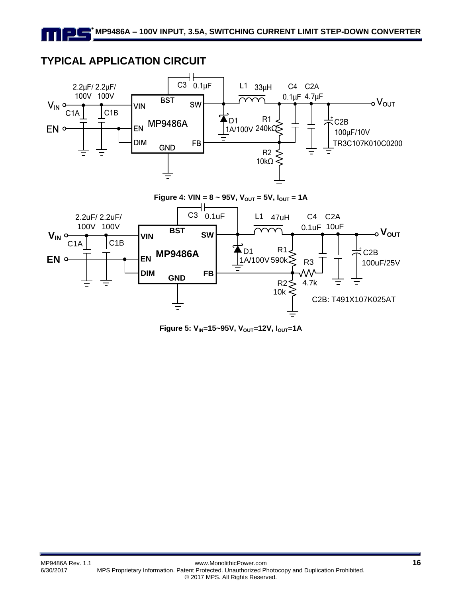# **TYPICAL APPLICATION CIRCUIT**



**Figure 5: VIN=15~95V, VOUT=12V, IOUT=1A**